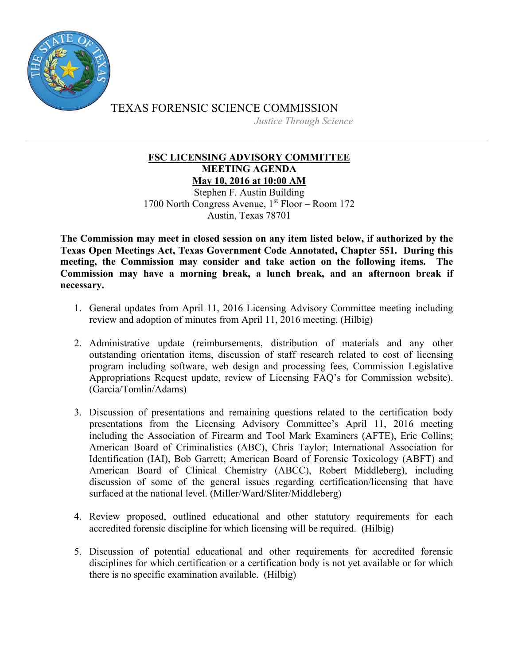

TEXAS FORENSIC SCIENCE COMMISSION *Justice Through Science*

## **FSC LICENSING ADVISORY COMMITTEE MEETING AGENDA May 10, 2016 at 10:00 AM**

Stephen F. Austin Building 1700 North Congress Avenue,  $1<sup>st</sup>$  Floor – Room 172 Austin, Texas 78701

**The Commission may meet in closed session on any item listed below, if authorized by the Texas Open Meetings Act, Texas Government Code Annotated, Chapter 551. During this meeting, the Commission may consider and take action on the following items. The Commission may have a morning break, a lunch break, and an afternoon break if necessary.**

- 1. General updates from April 11, 2016 Licensing Advisory Committee meeting including review and adoption of minutes from April 11, 2016 meeting. (Hilbig)
- 2. Administrative update (reimbursements, distribution of materials and any other outstanding orientation items, discussion of staff research related to cost of licensing program including software, web design and processing fees, Commission Legislative Appropriations Request update, review of Licensing FAQ's for Commission website). (Garcia/Tomlin/Adams)
- 3. Discussion of presentations and remaining questions related to the certification body presentations from the Licensing Advisory Committee's April 11, 2016 meeting including the Association of Firearm and Tool Mark Examiners (AFTE), Eric Collins; American Board of Criminalistics (ABC), Chris Taylor; International Association for Identification (IAI), Bob Garrett; American Board of Forensic Toxicology (ABFT) and American Board of Clinical Chemistry (ABCC), Robert Middleberg), including discussion of some of the general issues regarding certification/licensing that have surfaced at the national level. (Miller/Ward/Sliter/Middleberg)
- 4. Review proposed, outlined educational and other statutory requirements for each accredited forensic discipline for which licensing will be required. (Hilbig)
- 5. Discussion of potential educational and other requirements for accredited forensic disciplines for which certification or a certification body is not yet available or for which there is no specific examination available. (Hilbig)